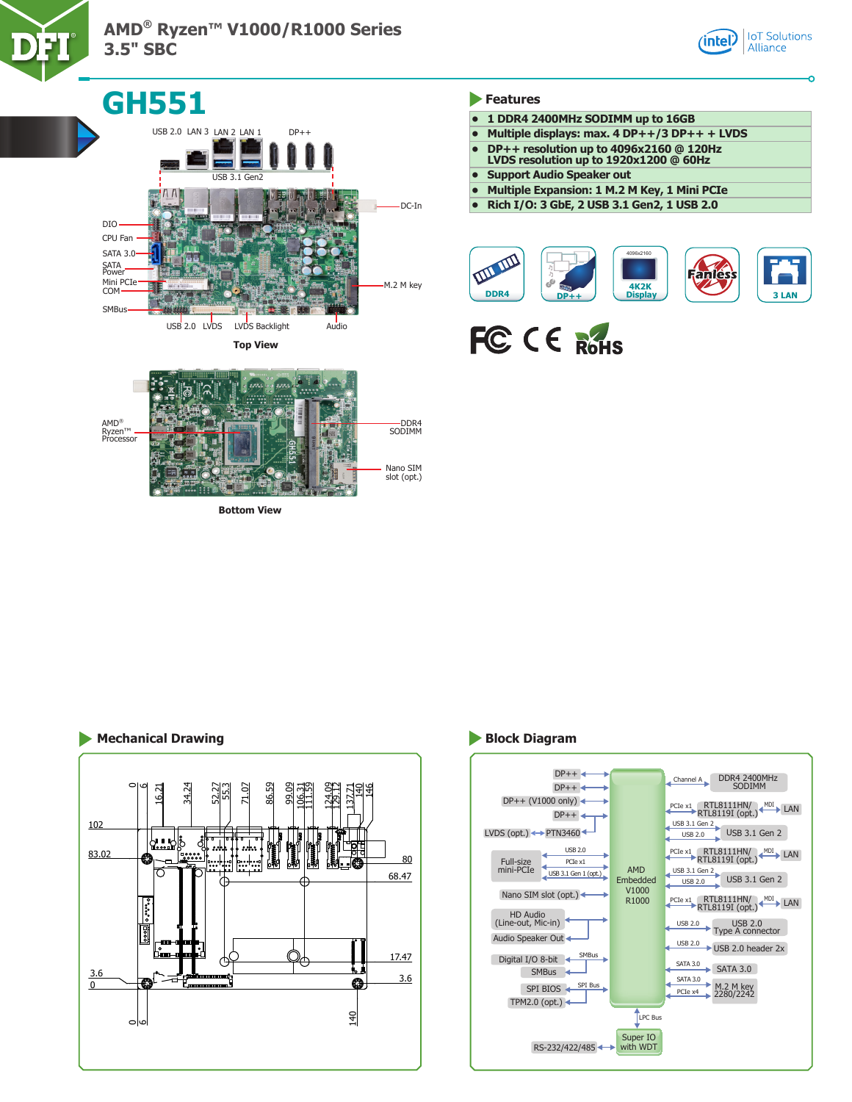





**Bottom View**

- **• 1 DDR4 2400MHz SODIMM up to 16GB**
- **• Multiple displays: max. 4 DP++/3 DP++ + LVDS**
- **• DP++ resolution up to 4096x2160 @ 120Hz**
- **LVDS resolution up to 1920x1200 @ 60Hz**
- **• Support Audio Speaker out**
- **• Multiple Expansion: 1 M.2 M Key, 1 Mini PCIe**
- **• Rich I/O: 3 GbE, 2 USB 3.1 Gen2, 1 USB 2.0**





### **Mechanical Drawing Community Community Community Community Community Community Community Community Community Community Community Community Community Community Community Community Community Community Community Community Co**